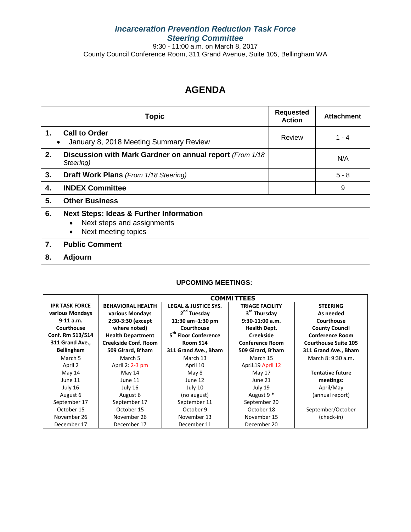# *Incarceration Prevention Reduction Task Force Steering Committee*

9:30 - 11:00 a.m. on March 8, 2017 County Council Conference Room, 311 Grand Avenue, Suite 105, Bellingham WA

# **AGENDA**

|               | <b>Topic</b>                                                                                            | <b>Requested</b><br><b>Action</b> | <b>Attachment</b> |
|---------------|---------------------------------------------------------------------------------------------------------|-----------------------------------|-------------------|
| $\mathbf 1$ . | <b>Call to Order</b><br>January 8, 2018 Meeting Summary Review                                          | Review                            | $1 - 4$           |
| 2.            | Discussion with Mark Gardner on annual report (From 1/18)<br>Steering)                                  |                                   | N/A               |
| 3.            | Draft Work Plans (From 1/18 Steering)                                                                   |                                   | $5 - 8$           |
| 4.            | <b>INDEX Committee</b>                                                                                  |                                   | 9                 |
| 5.            | <b>Other Business</b>                                                                                   |                                   |                   |
| 6.            | <b>Next Steps: Ideas &amp; Further Information</b><br>Next steps and assignments<br>Next meeting topics |                                   |                   |
| 7.            | <b>Public Comment</b>                                                                                   |                                   |                   |
| 8.            | <b>Adjourn</b>                                                                                          |                                   |                   |

#### **UPCOMING MEETINGS:**

|                       | <b>COMMITTEES</b>        |                                  |                          |                             |  |
|-----------------------|--------------------------|----------------------------------|--------------------------|-----------------------------|--|
| <b>IPR TASK FORCE</b> | <b>BEHAVIORAL HEALTH</b> | <b>LEGAL &amp; JUSTICE SYS.</b>  | <b>TRIAGE FACILITY</b>   | <b>STEERING</b>             |  |
| various Mondays       | various Mondays          | 2 <sup>nd</sup> Tuesday          | 3 <sup>rd</sup> Thursday | As needed                   |  |
| $9-11$ a.m.           | 2:30-3:30 (except)       | 11:30 $am-1:30$ pm               | $9:30-11:00$ a.m.        | Courthouse                  |  |
| Courthouse            | where noted)             | Courthouse                       | <b>Health Dept.</b>      | <b>County Council</b>       |  |
| Conf. Rm 513/514      | <b>Health Department</b> | 5 <sup>th</sup> Floor Conference | <b>Creekside</b>         | <b>Conference Room</b>      |  |
| 311 Grand Ave.,       | Creekside Conf. Room     | <b>Room 514</b>                  | <b>Conference Room</b>   | <b>Courthouse Suite 105</b> |  |
| <b>Bellingham</b>     | 509 Girard, B'ham        | 311 Grand Ave., Bham             | 509 Girard, B'ham        | 311 Grand Ave., Bham        |  |
| March 5               | March 5                  | March 13                         | March 15                 | March 8: 9:30 a.m.          |  |
| April 2               | April 2: 2-3 pm          | April 10                         | April 19 April 12        |                             |  |
| May 14                | May 14                   | May 8                            | May 17                   | <b>Tentative future</b>     |  |
| June 11               | June 11                  | June 12                          | June 21                  | meetings:                   |  |
| July 16               | July 16                  | July 10                          | July 19                  | April/May                   |  |
| August 6              | August 6                 | (no august)                      | August 9 <sup>*</sup>    | (annual report)             |  |
| September 17          | September 17             | September 11                     | September 20             |                             |  |
| October 15            | October 15               | October 9                        | October 18               | September/October           |  |
| November 26           | November 26              | November 13                      | November 15              | (check-in)                  |  |
| December 17           | December 17              | December 11                      | December 20              |                             |  |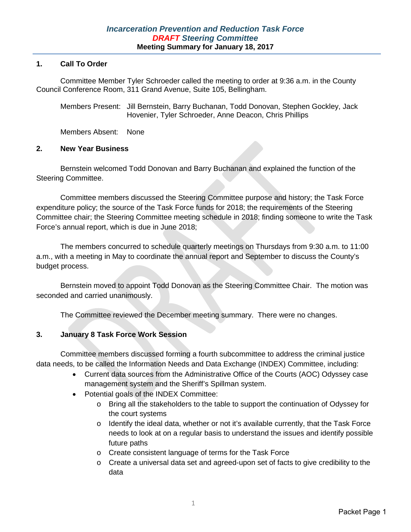### **1. Call To Order**

Committee Member Tyler Schroeder called the meeting to order at 9:36 a.m. in the County Council Conference Room, 311 Grand Avenue, Suite 105, Bellingham.

Members Present: Jill Bernstein, Barry Buchanan, Todd Donovan, Stephen Gockley, Jack Hovenier, Tyler Schroeder, Anne Deacon, Chris Phillips

Members Absent: None

### **2. New Year Business**

Bernstein welcomed Todd Donovan and Barry Buchanan and explained the function of the Steering Committee.

Committee members discussed the Steering Committee purpose and history; the Task Force expenditure policy; the source of the Task Force funds for 2018; the requirements of the Steering Committee chair; the Steering Committee meeting schedule in 2018; finding someone to write the Task Force's annual report, which is due in June 2018;

The members concurred to schedule quarterly meetings on Thursdays from 9:30 a.m. to 11:00 a.m., with a meeting in May to coordinate the annual report and September to discuss the County's budget process.

Bernstein moved to appoint Todd Donovan as the Steering Committee Chair. The motion was seconded and carried unanimously.

The Committee reviewed the December meeting summary. There were no changes.

## **3. January 8 Task Force Work Session**

Committee members discussed forming a fourth subcommittee to address the criminal justice data needs, to be called the Information Needs and Data Exchange (INDEX) Committee, including:

- Current data sources from the Administrative Office of the Courts (AOC) Odyssey case management system and the Sheriff's Spillman system.
- Potential goals of the INDEX Committee:
	- o Bring all the stakeholders to the table to support the continuation of Odyssey for the court systems
	- $\circ$  Identify the ideal data, whether or not it's available currently, that the Task Force needs to look at on a regular basis to understand the issues and identify possible future paths
	- o Create consistent language of terms for the Task Force
	- $\circ$  Create a universal data set and agreed-upon set of facts to give credibility to the data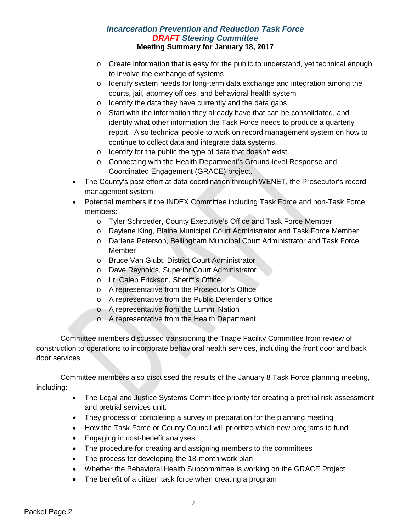# *Incarceration Prevention and Reduction Task Force DRAFT Steering Committee* **Meeting Summary for January 18, 2017**

- $\circ$  Create information that is easy for the public to understand, yet technical enough to involve the exchange of systems
- o Identify system needs for long-term data exchange and integration among the courts, jail, attorney offices, and behavioral health system
- o Identify the data they have currently and the data gaps
- o Start with the information they already have that can be consolidated, and identify what other information the Task Force needs to produce a quarterly report. Also technical people to work on record management system on how to continue to collect data and integrate data systems.
- o Identify for the public the type of data that doesn't exist.
- o Connecting with the Health Department's Ground-level Response and Coordinated Engagement (GRACE) project.
- The County's past effort at data coordination through WENET, the Prosecutor's record management system.
- Potential members if the INDEX Committee including Task Force and non-Task Force members:
	- o Tyler Schroeder, County Executive's Office and Task Force Member
	- o Raylene King, Blaine Municipal Court Administrator and Task Force Member
	- o Darlene Peterson, Bellingham Municipal Court Administrator and Task Force Member
	- o Bruce Van Glubt, District Court Administrator
	- o Dave Reynolds, Superior Court Administrator
	- o Lt. Caleb Erickson, Sheriff's Office
	- o A representative from the Prosecutor's Office
	- o A representative from the Public Defender's Office
	- o A representative from the Lummi Nation
	- o A representative from the Health Department

Committee members discussed transitioning the Triage Facility Committee from review of construction to operations to incorporate behavioral health services, including the front door and back door services.

Committee members also discussed the results of the January 8 Task Force planning meeting, including:

- The Legal and Justice Systems Committee priority for creating a pretrial risk assessment and pretrial services unit.
- They process of completing a survey in preparation for the planning meeting
- How the Task Force or County Council will prioritize which new programs to fund
- Engaging in cost-benefit analyses
- The procedure for creating and assigning members to the committees
- The process for developing the 18-month work plan
- Whether the Behavioral Health Subcommittee is working on the GRACE Project
- The benefit of a citizen task force when creating a program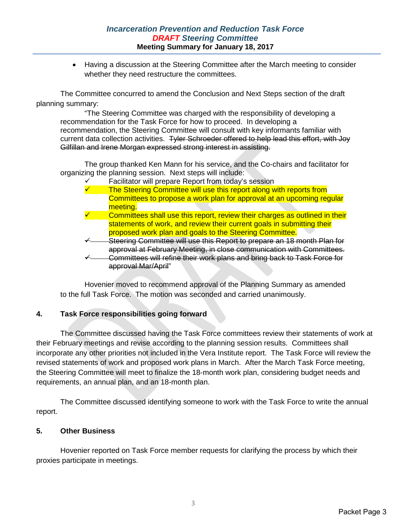# *Incarceration Prevention and Reduction Task Force DRAFT Steering Committee* **Meeting Summary for January 18, 2017**

• Having a discussion at the Steering Committee after the March meeting to consider whether they need restructure the committees.

The Committee concurred to amend the Conclusion and Next Steps section of the draft planning summary:

"The Steering Committee was charged with the responsibility of developing a recommendation for the Task Force for how to proceed. In developing a recommendation, the Steering Committee will consult with key informants familiar with current data collection activities. Tyler Schroeder offered to help lead this effort, with Joy Gilfillan and Irene Morgan expressed strong interest in assisting.

The group thanked Ken Mann for his service, and the Co-chairs and facilitator for organizing the planning session. Next steps will include:

 Facilitator will prepare Report from today's session The Steering Committee will use this report along with reports from Committees to propose a work plan for approval at an upcoming regular meeting. Committees shall use this report, review their charges as outlined in their statements of work, and review their current goals in submitting their proposed work plan and goals to the Steering Committee. Steering Committee will use this Report to prepare an 18 month Plan for approval at February Meeting, in close communication with Committees. Committees will refine their work plans and bring back to Task Force for approval Mar/April"

Hovenier moved to recommend approval of the Planning Summary as amended to the full Task Force. The motion was seconded and carried unanimously.

# **4. Task Force responsibilities going forward**

The Committee discussed having the Task Force committees review their statements of work at their February meetings and revise according to the planning session results. Committees shall incorporate any other priorities not included in the Vera Institute report. The Task Force will review the revised statements of work and proposed work plans in March. After the March Task Force meeting, the Steering Committee will meet to finalize the 18-month work plan, considering budget needs and requirements, an annual plan, and an 18-month plan.

The Committee discussed identifying someone to work with the Task Force to write the annual report.

## **5. Other Business**

Hovenier reported on Task Force member requests for clarifying the process by which their proxies participate in meetings.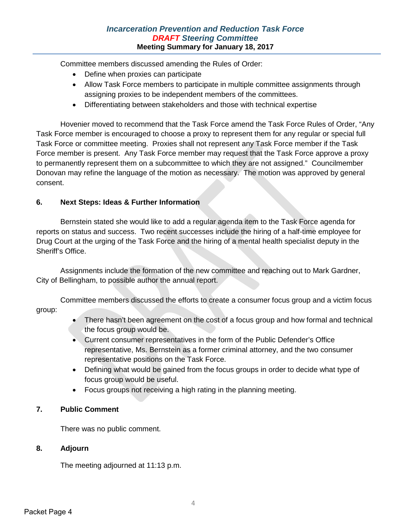# *Incarceration Prevention and Reduction Task Force DRAFT Steering Committee* **Meeting Summary for January 18, 2017**

Committee members discussed amending the Rules of Order:

- Define when proxies can participate
- Allow Task Force members to participate in multiple committee assignments through assigning proxies to be independent members of the committees.
- Differentiating between stakeholders and those with technical expertise

Hovenier moved to recommend that the Task Force amend the Task Force Rules of Order, "Any Task Force member is encouraged to choose a proxy to represent them for any regular or special full Task Force or committee meeting. Proxies shall not represent any Task Force member if the Task Force member is present. Any Task Force member may request that the Task Force approve a proxy to permanently represent them on a subcommittee to which they are not assigned." Councilmember Donovan may refine the language of the motion as necessary. The motion was approved by general consent.

## **6. Next Steps: Ideas & Further Information**

Bernstein stated she would like to add a regular agenda item to the Task Force agenda for reports on status and success. Two recent successes include the hiring of a half-time employee for Drug Court at the urging of the Task Force and the hiring of a mental health specialist deputy in the Sheriff's Office.

Assignments include the formation of the new committee and reaching out to Mark Gardner, City of Bellingham, to possible author the annual report.

Committee members discussed the efforts to create a consumer focus group and a victim focus group:

- There hasn't been agreement on the cost of a focus group and how formal and technical the focus group would be.
- Current consumer representatives in the form of the Public Defender's Office representative, Ms. Bernstein as a former criminal attorney, and the two consumer representative positions on the Task Force.
- Defining what would be gained from the focus groups in order to decide what type of focus group would be useful.
- Focus groups not receiving a high rating in the planning meeting.

## **7. Public Comment**

There was no public comment.

#### **8. Adjourn**

The meeting adjourned at 11:13 p.m.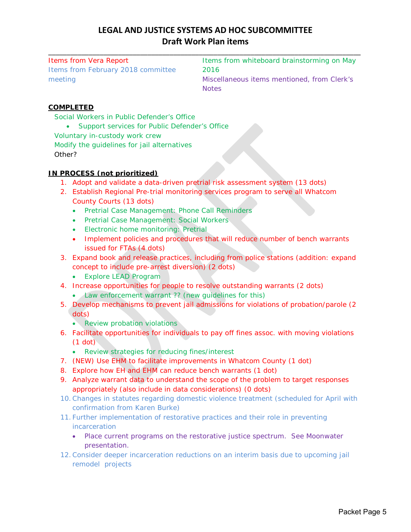# **LEGAL AND JUSTICE SYSTEMS AD HOC SUBCOMMITTEE Draft Work Plan items**

\_\_\_\_\_\_\_\_\_\_\_\_\_\_\_\_\_\_\_\_\_\_\_\_\_\_\_\_\_\_\_\_\_\_\_\_\_\_\_\_\_\_\_\_\_\_\_\_\_\_\_\_\_\_\_\_\_\_\_\_\_\_\_\_\_\_\_\_\_\_\_\_\_\_\_\_\_\_\_\_\_\_\_\_\_

Items from Vera Report Items from February 2018 committee meeting

Items from whiteboard brainstorming on May 2016 Miscellaneous items mentioned, from Clerk's **Notes** 

# **COMPLETED**

Social Workers in Public Defender's Office

• Support services for Public Defender's Office Voluntary in-custody work crew Modify the guidelines for jail alternatives Other?

#### **IN PROCESS (not prioritized)**

- 1. Adopt and validate a data-driven pretrial risk assessment system (13 dots)
- 2. Establish Regional Pre-trial monitoring services program to serve all Whatcom County Courts (13 dots)
	- Pretrial Case Management: Phone Call Reminders
	- Pretrial Case Management: Social Workers
	- Electronic home monitoring: Pretrial
	- Implement policies and procedures that will reduce number of bench warrants issued for FTAs (4 dots)
- 3. Expand book and release practices, including from police stations (addition: expand concept to include pre-arrest diversion) (2 dots)
	- Explore LEAD Program
- 4. Increase opportunities for people to resolve outstanding warrants (2 dots)
	- Law enforcement warrant ?? (new guidelines for this)
- 5. Develop mechanisms to prevent jail admissions for violations of probation/parole (2 dots)
	- Review probation violations
- 6. Facilitate opportunities for individuals to pay off fines assoc. with moving violations (1 dot)
	- Review strategies for reducing fines/interest
- 7. (NEW) Use EHM to facilitate improvements in Whatcom County (1 dot)
- 8. Explore how EH and EHM can reduce bench warrants (1 dot)
- 9. Analyze warrant data to understand the scope of the problem to target responses appropriately (also include in data considerations) (0 dots)
- 10.Changes in statutes regarding domestic violence treatment (scheduled for April with confirmation from Karen Burke)
- 11. Further implementation of restorative practices and their role in preventing incarceration
	- Place current programs on the restorative justice spectrum. See Moonwater presentation.
- 12.Consider deeper incarceration reductions on an interim basis due to upcoming jail remodel projects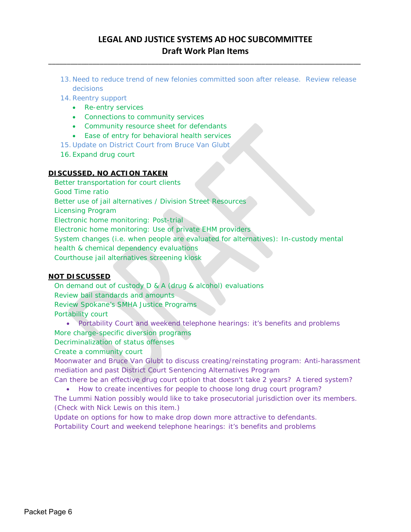# **LEGAL AND JUSTICE SYSTEMS AD HOC SUBCOMMITTEE Draft Work Plan Items**

\_\_\_\_\_\_\_\_\_\_\_\_\_\_\_\_\_\_\_\_\_\_\_\_\_\_\_\_\_\_\_\_\_\_\_\_\_\_\_\_\_\_\_\_\_\_\_\_\_\_\_\_\_\_\_\_\_\_\_\_\_\_\_\_\_\_\_\_\_\_\_\_\_\_\_\_\_\_\_\_\_\_\_\_\_

13. Need to reduce trend of new felonies committed soon after release. Review release decisions

14.Reentry support

- Re-entry services
- Connections to community services
- Community resource sheet for defendants
- Ease of entry for behavioral health services
- 15. Update on District Court from Bruce Van Glubt
- 16. Expand drug court

#### **DISCUSSED, NO ACTION TAKEN**

Better transportation for court clients Good Time ratio Better use of jail alternatives / Division Street Resources Licensing Program Electronic home monitoring: Post-trial Electronic home monitoring: Use of private EHM providers System changes (i.e. when people are evaluated for alternatives): In-custody mental health & chemical dependency evaluations Courthouse jail alternatives screening kiosk

#### **NOT DISCUSSED**

On demand out of custody D & A (drug & alcohol) evaluations Review bail standards and amounts Review Spokane's SMHA Justice Programs Portability court

- Portability Court and weekend telephone hearings: it's benefits and problems More charge-specific diversion programs
- Decriminalization of status offenses

Create a community court

Moonwater and Bruce Van Glubt to discuss creating/reinstating program: Anti-harassment mediation and past District Court Sentencing Alternatives Program

Can there be an effective drug court option that doesn't take 2 years? A tiered system?

• How to create incentives for people to choose long drug court program?

The Lummi Nation possibly would like to take prosecutorial jurisdiction over its members. (Check with Nick Lewis on this item.)

Update on options for how to make drop down more attractive to defendants. Portability Court and weekend telephone hearings: it's benefits and problems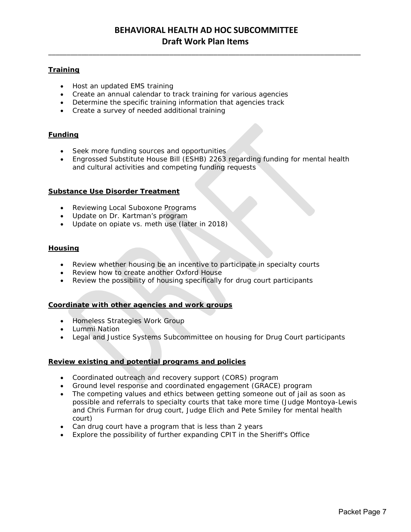\_\_\_\_\_\_\_\_\_\_\_\_\_\_\_\_\_\_\_\_\_\_\_\_\_\_\_\_\_\_\_\_\_\_\_\_\_\_\_\_\_\_\_\_\_\_\_\_\_\_\_\_\_\_\_\_\_\_\_\_\_\_\_\_\_\_\_\_\_\_\_\_\_\_\_\_\_\_\_\_\_\_\_\_\_

#### **Training**

- Host an updated EMS training
- Create an annual calendar to track training for various agencies
- Determine the specific training information that agencies track
- Create a survey of needed additional training

#### **Funding**

- Seek more funding sources and opportunities
- Engrossed Substitute House Bill (ESHB) 2263 regarding funding for mental health and cultural activities and competing funding requests

#### **Substance Use Disorder Treatment**

- Reviewing Local Suboxone Programs
- Update on Dr. Kartman's program
- Update on opiate vs. meth use (later in 2018)

#### **Housing**

- Review whether housing be an incentive to participate in specialty courts
- Review how to create another Oxford House
- Review the possibility of housing specifically for drug court participants

#### **Coordinate with other agencies and work groups**

- Homeless Strategies Work Group
- Lummi Nation
- Legal and Justice Systems Subcommittee on housing for Drug Court participants

#### **Review existing and potential programs and policies**

- Coordinated outreach and recovery support (CORS) program
- Ground level response and coordinated engagement (GRACE) program
- The competing values and ethics between getting someone out of jail as soon as possible and referrals to specialty courts that take more time (Judge Montoya-Lewis and Chris Furman for drug court, Judge Elich and Pete Smiley for mental health court)
- Can drug court have a program that is less than 2 years
- Explore the possibility of further expanding CPIT in the Sheriff's Office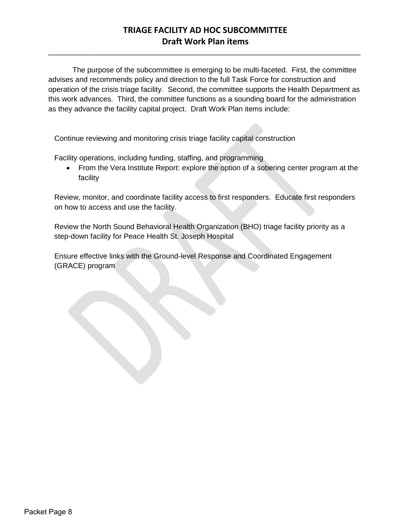# **TRIAGE FACILITY AD HOC SUBCOMMITTEE Draft Work Plan items**

\_\_\_\_\_\_\_\_\_\_\_\_\_\_\_\_\_\_\_\_\_\_\_\_\_\_\_\_\_\_\_\_\_\_\_\_\_\_\_\_\_\_\_\_\_\_\_\_\_\_\_\_\_\_\_\_\_\_\_\_\_\_\_\_\_\_\_\_\_\_\_\_\_\_\_\_\_\_\_\_\_\_\_\_\_

The purpose of the subcommittee is emerging to be multi-faceted. First, the committee advises and recommends policy and direction to the full Task Force for construction and operation of the crisis triage facility. Second, the committee supports the Health Department as this work advances. Third, the committee functions as a sounding board for the administration as they advance the facility capital project. Draft Work Plan items include:

Continue reviewing and monitoring crisis triage facility capital construction

Facility operations, including funding, staffing, and programming

• From the Vera Institute Report: explore the option of a sobering center program at the facility

Review, monitor, and coordinate facility access to first responders. Educate first responders on how to access and use the facility.

Review the North Sound Behavioral Health Organization (BHO) triage facility priority as a step-down facility for Peace Health St. Joseph Hospital

Ensure effective links with the Ground-level Response and Coordinated Engagement (GRACE) program